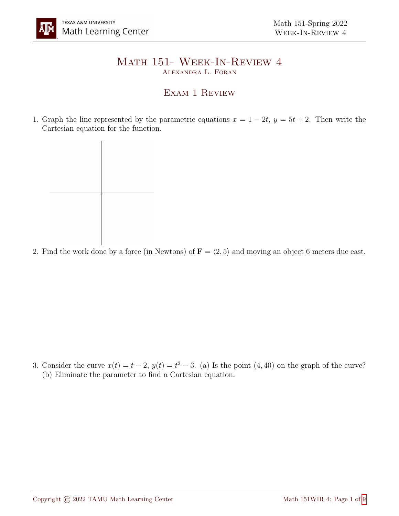## Math 151- Week-In-Review 4 Alexandra L. Foran

## EXAM 1 REVIEW

1. Graph the line represented by the parametric equations  $x = 1 - 2t$ ,  $y = 5t + 2$ . Then write the Cartesian equation for the function.

2. Find the work done by a force (in Newtons) of  $\mathbf{F} = \langle 2, 5 \rangle$  and moving an object 6 meters due east.

3. Consider the curve  $x(t) = t - 2$ ,  $y(t) = t^2 - 3$ . (a) Is the point (4,40) on the graph of the curve? (b) Eliminate the parameter to find a Cartesian equation.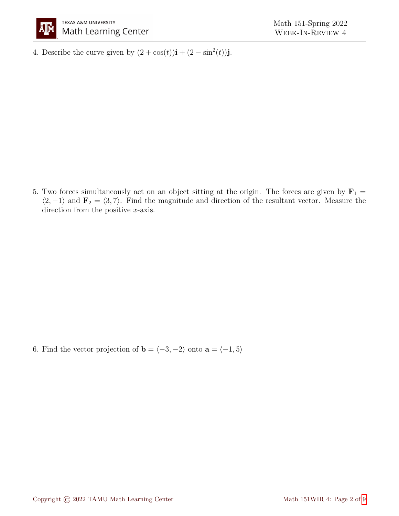

4. Describe the curve given by  $(2 + \cos(t))\mathbf{i} + (2 - \sin^2(t))\mathbf{j}$ .

5. Two forces simultaneously act on an object sitting at the origin. The forces are given by  $\mathbf{F}_1 =$  $\langle 2, -1 \rangle$  and  $\mathbf{F}_2 = \langle 3, 7 \rangle$ . Find the magnitude and direction of the resultant vector. Measure the direction from the positive x-axis.

6. Find the vector projection of **b** =  $\langle -3, -2 \rangle$  onto **a** =  $\langle -1, 5 \rangle$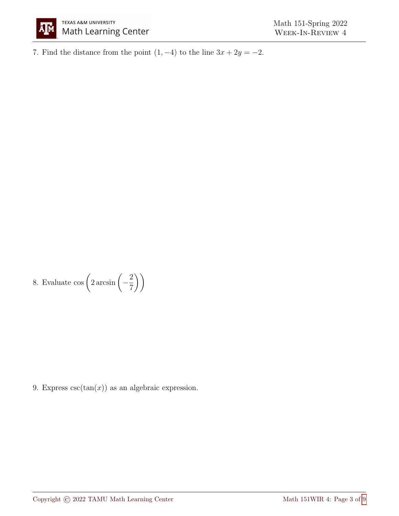

7. Find the distance from the point  $(1, -4)$  to the line  $3x + 2y = -2$ .

8. Evaluate  $\cos\left(2\arcsin\left(-\frac{2}{\pi}\right)\right)$ 7  $\setminus$ 

9. Express  $\csc(\tan(x))$  as an algebraic expression.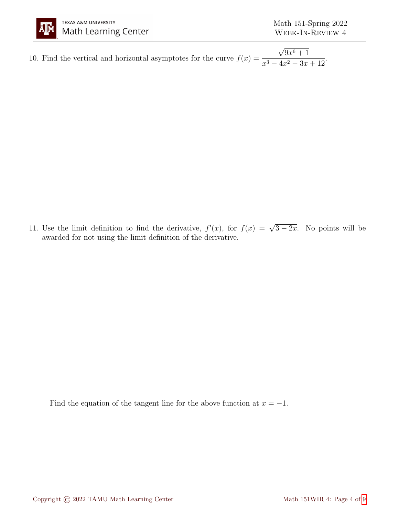

10. Find the vertical and horizontal asymptotes for the curve  $f(x) =$ √  $9x^6+1$  $\frac{6x+1}{x^3-4x^2-3x+12}.$ 

11. Use the limit definition to find the derivative,  $f'(x)$ , for  $f(x) = \sqrt{3-2x}$ . No points will be awarded for not using the limit definition of the derivative.

Find the equation of the tangent line for the above function at  $x = -1$ .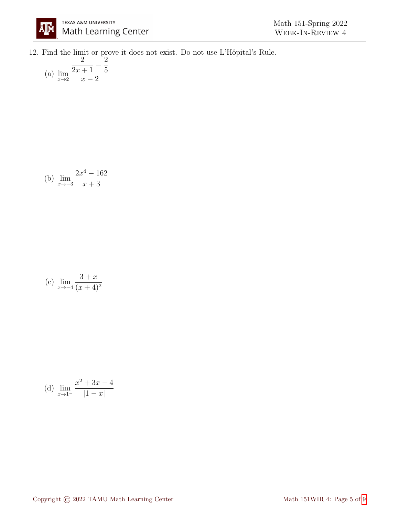12. Find the limit or prove it does not exist. Do not use L'Hôpital's Rule.

(a) 
$$
\lim_{x \to 2} \frac{\frac{2}{2x+1} - \frac{2}{5}}{x-2}
$$

(b) 
$$
\lim_{x \to -3} \frac{2x^4 - 162}{x + 3}
$$

(c) 
$$
\lim_{x \to -4} \frac{3+x}{(x+4)^2}
$$

(d) 
$$
\lim_{x \to 1^{-}} \frac{x^2 + 3x - 4}{|1 - x|}
$$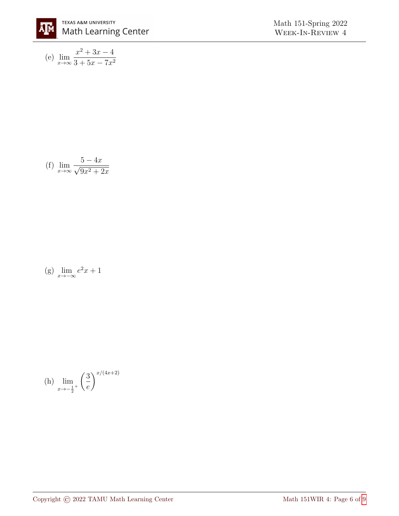

(e) 
$$
\lim_{x \to \infty} \frac{x^2 + 3x - 4}{3 + 5x - 7x^2}
$$

(f) 
$$
\lim_{x \to \infty} \frac{5 - 4x}{\sqrt{9x^2 + 2x}}
$$

$$
(g) \lim_{x \to -\infty} e^2 x + 1
$$

(h) 
$$
\lim_{x \to -\frac{1}{2}^+} \left(\frac{3}{e}\right)^{x/(4x+2)}
$$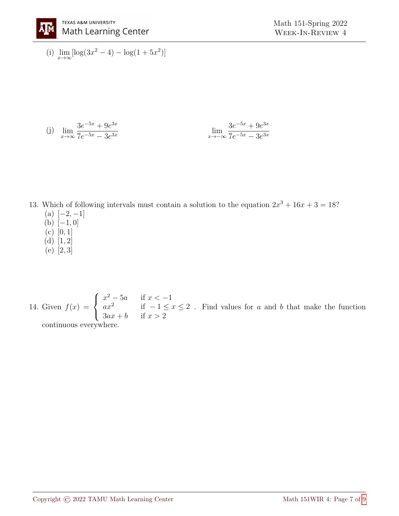

(i)  $\lim_{x \to \infty} [\log(3x^2 - 4) - \log(1 + 5x^2)]$ 

(j) 
$$
\lim_{x \to \infty} \frac{3e^{-5x} + 9e^{3x}}{7e^{-5x} - 3e^{3x}}
$$

$$
\lim_{x \to -\infty} \frac{3e^{-5x} + 9e^{3x}}{7e^{-5x} - 3e^{3x}}
$$

13. Which of following intervals must contain a solution to the equation  $2x^3 + 16x + 3 = 18$ ?  $(a)$  [-2, -1]  $(b)$  [-1, 0]

- (c) [0, 1]
- (d)  $[1, 2]$
- (e) [2, 3]

14. Given  $f(x) =$  $\sqrt{ }$  $\left| \right|$  $\mathcal{L}$  $x^2 - 5a$  if  $x < -1$ a $x^2$  if  $-1 \le x \le 2$  $3ax + b$  if  $x > 2$ . Find values for  $a$  and  $b$  that make the function continuous everywhere.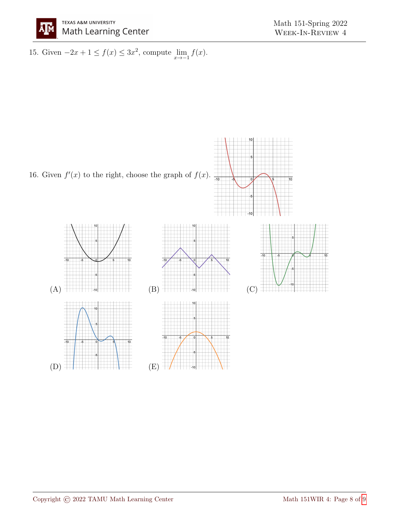

15. Given  $-2x + 1 \le f(x) \le 3x^2$ , compute  $\lim_{x \to -1} f(x)$ .